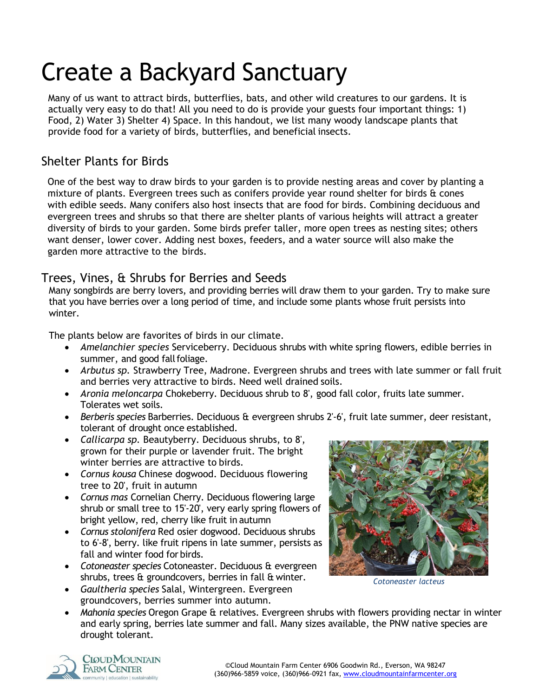# Create a Backyard Sanctuary

Many of us want to attract birds, butterflies, bats, and other wild creatures to our gardens. It is actually very easy to do that! All you need to do is provide your guests four important things: 1) Food, 2) Water 3) Shelter 4) Space. In this handout, we list many woody landscape plants that provide food for a variety of birds, butterflies, and beneficial insects.

## Shelter Plants for Birds

One of the best way to draw birds to your garden is to provide nesting areas and cover by planting a mixture of plants. Evergreen trees such as conifers provide year round shelter for birds & cones with edible seeds. Many conifers also host insects that are food for birds. Combining deciduous and evergreen trees and shrubs so that there are shelter plants of various heights will attract a greater diversity of birds to your garden. Some birds prefer taller, more open trees as nesting sites; others want denser, lower cover. Adding nest boxes, feeders, and a water source will also make the garden more attractive to the birds.

#### Trees, Vines, & Shrubs for Berries and Seeds

Many songbirds are berry lovers, and providing berries will draw them to your garden. Try to make sure that you have berries over a long period of time, and include some plants whose fruit persists into winter.

The plants below are favorites of birds in our climate.

- *Amelanchier species* Serviceberry. Deciduous shrubs with white spring flowers, edible berries in summer, and good fall foliage.
- *Arbutus sp.* Strawberry Tree, Madrone. Evergreen shrubs and trees with late summer or fall fruit and berries very attractive to birds. Need well drained soils.
- *Aronia meloncarpa* Chokeberry. Deciduous shrub to 8', good fall color, fruits late summer. Tolerates wet soils.
- *Berberis species* Barberries. Deciduous & evergreen shrubs 2'-6', fruit late summer, deer resistant, tolerant of drought once established.
- *Callicarpa sp.* Beautyberry. Deciduous shrubs, to 8', grown for their purple or lavender fruit. The bright winter berries are attractive to birds.
- *Cornus kousa* Chinese dogwood. Deciduous flowering tree to 20', fruit in autumn
- *Cornus mas* Cornelian Cherry. Deciduous flowering large shrub or small tree to 15'-20', very early spring flowers of bright yellow, red, cherry like fruit in autumn
- *Cornus stolonifera* Red osier dogwood. Deciduous shrubs to 6'-8', berry. like fruit ripens in late summer, persists as fall and winter food for birds.
- *Cotoneaster species* Cotoneaster. Deciduous & evergreen shrubs, trees & groundcovers, berries in fall & winter.
- *Gaultheria species* Salal, Wintergreen. Evergreen groundcovers, berries summer into autumn.



*Cotoneaster lacteus*

 *Mahonia species* Oregon Grape & relatives. Evergreen shrubs with flowers providing nectar in winter and early spring, berries late summer and fall. Many sizes available, the PNW native species are drought tolerant.

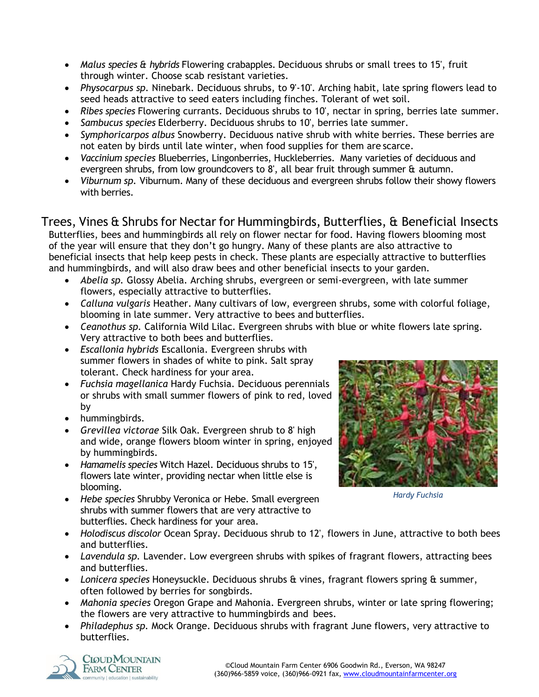- *Malus species & hybrids* Flowering crabapples. Deciduous shrubs or small trees to 15', fruit through winter. Choose scab resistant varieties.
- *Physocarpus sp.* Ninebark. Deciduous shrubs, to 9'-10'. Arching habit, late spring flowers lead to seed heads attractive to seed eaters including finches. Tolerant of wet soil.
- *Ribes species* Flowering currants. Deciduous shrubs to 10', nectar in spring, berries late summer.
- *Sambucus species* Elderberry. Deciduous shrubs to 10', berries late summer.
- *Symphoricarpos albus* Snowberry. Deciduous native shrub with white berries. These berries are not eaten by birds until late winter, when food supplies for them are scarce.
- *Vaccinium species* Blueberries, Lingonberries, Huckleberries. Many varieties of deciduous and evergreen shrubs, from low groundcovers to 8', all bear fruit through summer & autumn.
- *Viburnum sp.* Viburnum. Many of these deciduous and evergreen shrubs follow their showy flowers with berries.

# Trees, Vines & Shrubs for Nectar for Hummingbirds, Butterflies, & Beneficial Insects

Butterflies, bees and hummingbirds all rely on flower nectar for food. Having flowers blooming most of the year will ensure that they don't go hungry. Many of these plants are also attractive to beneficial insects that help keep pests in check. These plants are especially attractive to butterflies and hummingbirds, and will also draw bees and other beneficial insects to your garden.

- *Abelia sp.* Glossy Abelia. Arching shrubs, evergreen or semi-evergreen, with late summer flowers, especially attractive to butterflies.
- *Calluna vulgaris* Heather. Many cultivars of low, evergreen shrubs, some with colorful foliage, blooming in late summer. Very attractive to bees and butterflies.
- *Ceanothus sp.* California Wild Lilac. Evergreen shrubs with blue or white flowers late spring. Very attractive to both bees and butterflies.
- *Escallonia hybrids* Escallonia. Evergreen shrubs with summer flowers in shades of white to pink. Salt spray tolerant. Check hardiness for your area.
- *Fuchsia magellanica* Hardy Fuchsia. Deciduous perennials or shrubs with small summer flowers of pink to red, loved by
- hummingbirds.
- *Grevillea victorae* Silk Oak. Evergreen shrub to 8' high and wide, orange flowers bloom winter in spring, enjoyed by hummingbirds.
- *Hamamelis species* Witch Hazel. Deciduous shrubs to 15', flowers late winter, providing nectar when little else is blooming.
- *Hebe species* Shrubby Veronica or Hebe. Small evergreen shrubs with summer flowers that are very attractive to butterflies. Check hardiness for your area.



*Hardy Fuchsia*

- *Holodiscus discolor* Ocean Spray. Deciduous shrub to 12', flowers in June, attractive to both bees and butterflies.
- *Lavendula sp.* Lavender. Low evergreen shrubs with spikes of fragrant flowers, attracting bees and butterflies.
- *Lonicera species* Honeysuckle. Deciduous shrubs & vines, fragrant flowers spring & summer, often followed by berries for songbirds.
- *Mahonia species* Oregon Grape and Mahonia. Evergreen shrubs, winter or late spring flowering; the flowers are very attractive to hummingbirds and bees.
- *Philadephus sp.* Mock Orange. Deciduous shrubs with fragrant June flowers, very attractive to butterflies.